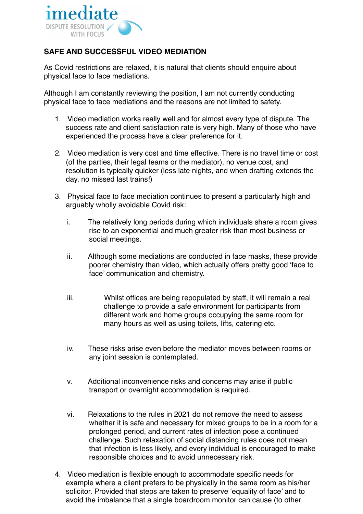

## **SAFE AND SUCCESSFUL VIDEO MEDIATION**

As Covid restrictions are relaxed, it is natural that clients should enquire about physical face to face mediations.

Although I am constantly reviewing the position, I am not currently conducting physical face to face mediations and the reasons are not limited to safety.

- 1. Video mediation works really well and for almost every type of dispute. The success rate and client satisfaction rate is very high. Many of those who have experienced the process have a clear preference for it.
- 2. Video mediation is very cost and time effective. There is no travel time or cost (of the parties, their legal teams or the mediator), no venue cost, and resolution is typically quicker (less late nights, and when drafting extends the day, no missed last trains!)
- 3. Physical face to face mediation continues to present a particularly high and arguably wholly avoidable Covid risk:
	- i. The relatively long periods during which individuals share a room gives rise to an exponential and much greater risk than most business or social meetings.
	- ii. Although some mediations are conducted in face masks, these provide poorer chemistry than video, which actually offers pretty good 'face to face' communication and chemistry.
	- iii. Whilst offices are being repopulated by staff, it will remain a real challenge to provide a safe environment for participants from different work and home groups occupying the same room for many hours as well as using toilets, lifts, catering etc.
	- iv. These risks arise even before the mediator moves between rooms or any joint session is contemplated.
	- v. Additional inconvenience risks and concerns may arise if public transport or overnight accommodation is required.
	- vi. Relaxations to the rules in 2021 do not remove the need to assess whether it is safe and necessary for mixed groups to be in a room for a prolonged period, and current rates of infection pose a continued challenge. Such relaxation of social distancing rules does not mean that infection is less likely, and every individual is encouraged to make responsible choices and to avoid unnecessary risk.
- 4. Video mediation is flexible enough to accommodate specific needs for example where a client prefers to be physically in the same room as his/her solicitor. Provided that steps are taken to preserve 'equality of face' and to avoid the imbalance that a single boardroom monitor can cause (to other